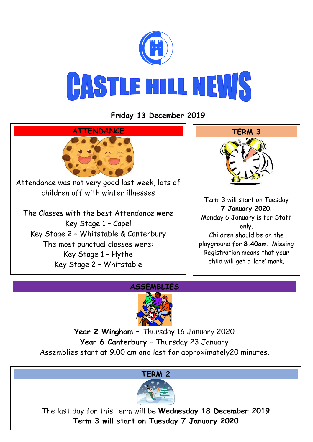

**Friday 13 December 2019**





**Year 2 Wingham –** Thursday 16 January 2020 **Year 6 Canterbury** – Thursday 23 January Assemblies start at 9.00 am and last for approximately20 minutes.



The last day for this term will be **Wednesday 18 December 2019 Term 3 will start on Tuesday 7 January 2020**